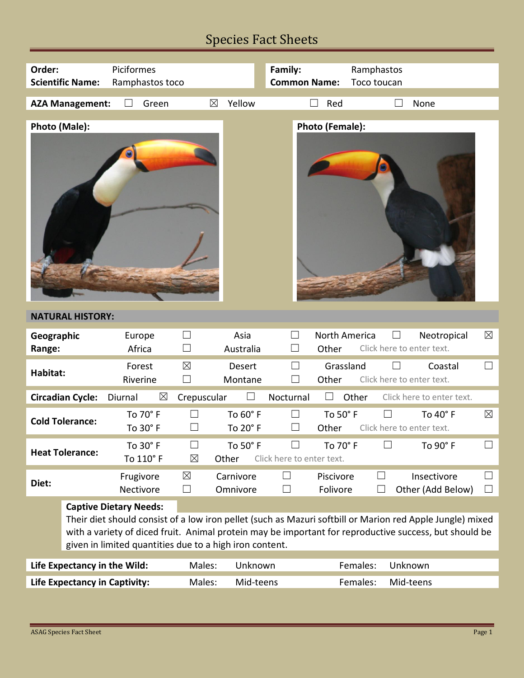## Species Fact Sheets

| Order:                                  | <b>Scientific Name:</b>      | Piciformes<br>Ramphastos toco                                                            |                       |                          | Family:<br><b>Common Name:</b> |                        | Ramphastos<br>Toco toucan |         |                                                                                                                                                                                                                     |                  |
|-----------------------------------------|------------------------------|------------------------------------------------------------------------------------------|-----------------------|--------------------------|--------------------------------|------------------------|---------------------------|---------|---------------------------------------------------------------------------------------------------------------------------------------------------------------------------------------------------------------------|------------------|
|                                         | <b>AZA Management:</b>       | $\vert \ \ \vert$<br>Green                                                               | ⊠                     | Yellow                   |                                | Red                    |                           |         | None                                                                                                                                                                                                                |                  |
| Photo (Male):<br><b>Photo (Female):</b> |                              |                                                                                          |                       |                          |                                |                        |                           |         |                                                                                                                                                                                                                     |                  |
|                                         | <b>NATURAL HISTORY:</b>      |                                                                                          |                       |                          |                                |                        |                           |         |                                                                                                                                                                                                                     |                  |
| Geographic<br>Range:                    |                              | Europe<br>Africa                                                                         | H                     | Asia<br>Australia        | П                              | North America<br>Other |                           | $\Box$  | Neotropical<br>Click here to enter text.                                                                                                                                                                            | $\boxtimes$      |
|                                         |                              |                                                                                          |                       |                          |                                |                        |                           |         |                                                                                                                                                                                                                     |                  |
| Habitat:                                |                              | Forest<br>Riverine                                                                       | $\boxtimes$           | <b>Desert</b><br>Montane |                                | Grassland<br>Other     |                           |         | Coastal<br>Click here to enter text.                                                                                                                                                                                |                  |
|                                         | <b>Circadian Cycle:</b>      | $\boxtimes$<br>Diurnal                                                                   | Crepuscular           |                          | Nocturnal                      |                        | Other                     |         | Click here to enter text.                                                                                                                                                                                           |                  |
|                                         | <b>Cold Tolerance:</b>       | To 70° F<br>To 30° F                                                                     |                       | To 60° F<br>To 20° F     | $\Box$                         | To 50° F<br>Other      |                           |         | To 40° F<br>Click here to enter text.                                                                                                                                                                               | $\boxtimes$      |
|                                         | <b>Heat Tolerance:</b>       | To 30° F<br>To 110° F                                                                    | ┓<br>$\boxtimes$      | To 50° F<br>Other        | Click here to enter text.      | To 70° F               | П                         |         | To 90° F                                                                                                                                                                                                            |                  |
| Diet:                                   |                              | Frugivore<br>Nectivore                                                                   | $\boxtimes$<br>$\Box$ | Carnivore<br>Omnivore    | $\Box$<br>$\sqcup$             | Piscivore<br>Folivore  | ⊔<br>$\Box$               |         | Insectivore<br>Other (Add Below)                                                                                                                                                                                    | $\Box$<br>$\Box$ |
|                                         |                              | <b>Captive Dietary Needs:</b><br>given in limited quantities due to a high iron content. |                       |                          |                                |                        |                           |         | Their diet should consist of a low iron pellet (such as Mazuri softbill or Marion red Apple Jungle) mixed<br>with a variety of diced fruit. Animal protein may be important for reproductive success, but should be |                  |
|                                         | Life Expectancy in the Wild: |                                                                                          | Males:                | Unknown                  |                                |                        | Females:                  | Unknown |                                                                                                                                                                                                                     |                  |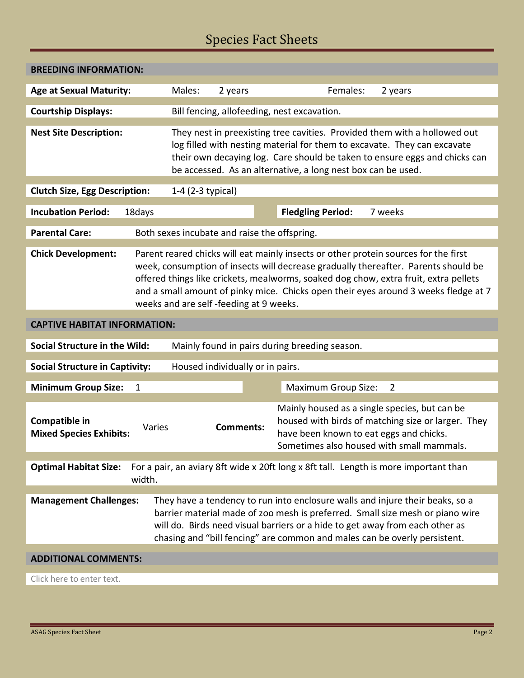## Species Fact Sheets

| <b>BREEDING INFORMATION:</b>                                                                                                                                                                                                                                                                                                                                                                                                    |                                                              |  |                            |                                                                                                                                                                                                                                     |  |  |  |
|---------------------------------------------------------------------------------------------------------------------------------------------------------------------------------------------------------------------------------------------------------------------------------------------------------------------------------------------------------------------------------------------------------------------------------|--------------------------------------------------------------|--|----------------------------|-------------------------------------------------------------------------------------------------------------------------------------------------------------------------------------------------------------------------------------|--|--|--|
| <b>Age at Sexual Maturity:</b>                                                                                                                                                                                                                                                                                                                                                                                                  | Males:<br>2 years                                            |  | Females:                   | 2 years                                                                                                                                                                                                                             |  |  |  |
| <b>Courtship Displays:</b>                                                                                                                                                                                                                                                                                                                                                                                                      | Bill fencing, allofeeding, nest excavation.                  |  |                            |                                                                                                                                                                                                                                     |  |  |  |
| <b>Nest Site Description:</b>                                                                                                                                                                                                                                                                                                                                                                                                   | be accessed. As an alternative, a long nest box can be used. |  |                            | They nest in preexisting tree cavities. Provided them with a hollowed out<br>log filled with nesting material for them to excavate. They can excavate<br>their own decaying log. Care should be taken to ensure eggs and chicks can |  |  |  |
| <b>Clutch Size, Egg Description:</b>                                                                                                                                                                                                                                                                                                                                                                                            | 1-4 $(2-3$ typical)                                          |  |                            |                                                                                                                                                                                                                                     |  |  |  |
| <b>Incubation Period:</b><br>18days                                                                                                                                                                                                                                                                                                                                                                                             |                                                              |  | <b>Fledgling Period:</b>   | 7 weeks                                                                                                                                                                                                                             |  |  |  |
| <b>Parental Care:</b>                                                                                                                                                                                                                                                                                                                                                                                                           | Both sexes incubate and raise the offspring.                 |  |                            |                                                                                                                                                                                                                                     |  |  |  |
| <b>Chick Development:</b><br>Parent reared chicks will eat mainly insects or other protein sources for the first<br>week, consumption of insects will decrease gradually thereafter. Parents should be<br>offered things like crickets, mealworms, soaked dog chow, extra fruit, extra pellets<br>and a small amount of pinky mice. Chicks open their eyes around 3 weeks fledge at 7<br>weeks and are self-feeding at 9 weeks. |                                                              |  |                            |                                                                                                                                                                                                                                     |  |  |  |
| <b>CAPTIVE HABITAT INFORMATION:</b>                                                                                                                                                                                                                                                                                                                                                                                             |                                                              |  |                            |                                                                                                                                                                                                                                     |  |  |  |
| <b>Social Structure in the Wild:</b>                                                                                                                                                                                                                                                                                                                                                                                            | Mainly found in pairs during breeding season.                |  |                            |                                                                                                                                                                                                                                     |  |  |  |
| Housed individually or in pairs.<br><b>Social Structure in Captivity:</b>                                                                                                                                                                                                                                                                                                                                                       |                                                              |  |                            |                                                                                                                                                                                                                                     |  |  |  |
| <b>Minimum Group Size:</b><br>$\mathbf{1}$                                                                                                                                                                                                                                                                                                                                                                                      |                                                              |  | <b>Maximum Group Size:</b> | $\overline{2}$                                                                                                                                                                                                                      |  |  |  |
| Compatible in<br>Varies<br><b>Mixed Species Exhibits:</b>                                                                                                                                                                                                                                                                                                                                                                       | <b>Comments:</b>                                             |  |                            | Mainly housed as a single species, but can be<br>housed with birds of matching size or larger. They<br>have been known to eat eggs and chicks.<br>Sometimes also housed with small mammals.                                         |  |  |  |
| For a pair, an aviary 8ft wide x 20ft long x 8ft tall. Length is more important than<br><b>Optimal Habitat Size:</b><br>width.                                                                                                                                                                                                                                                                                                  |                                                              |  |                            |                                                                                                                                                                                                                                     |  |  |  |
| They have a tendency to run into enclosure walls and injure their beaks, so a<br><b>Management Challenges:</b><br>barrier material made of zoo mesh is preferred. Small size mesh or piano wire<br>will do. Birds need visual barriers or a hide to get away from each other as<br>chasing and "bill fencing" are common and males can be overly persistent.                                                                    |                                                              |  |                            |                                                                                                                                                                                                                                     |  |  |  |
| <b>ADDITIONAL COMMENTS:</b>                                                                                                                                                                                                                                                                                                                                                                                                     |                                                              |  |                            |                                                                                                                                                                                                                                     |  |  |  |
| Click here to enter text.                                                                                                                                                                                                                                                                                                                                                                                                       |                                                              |  |                            |                                                                                                                                                                                                                                     |  |  |  |